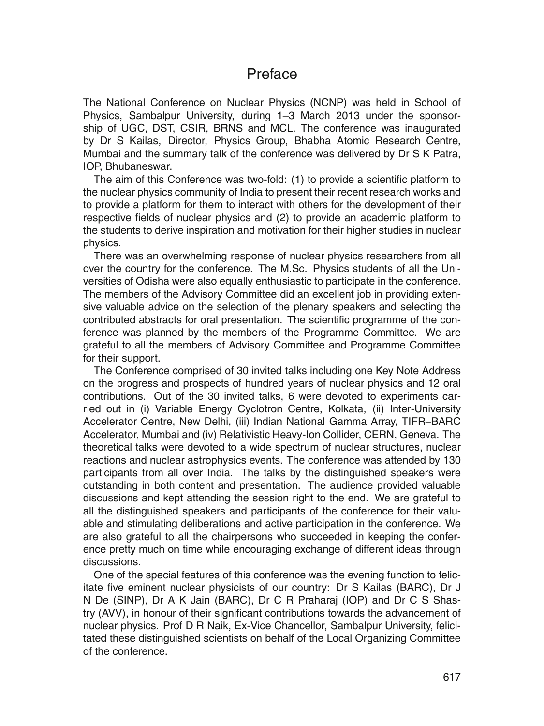## Preface

The National Conference on Nuclear Physics (NCNP) was held in School of Physics, Sambalpur University, during 1–3 March 2013 under the sponsorship of UGC, DST, CSIR, BRNS and MCL. The conference was inaugurated by Dr S Kailas, Director, Physics Group, Bhabha Atomic Research Centre, Mumbai and the summary talk of the conference was delivered by Dr S K Patra, IOP, Bhubaneswar.

The aim of this Conference was two-fold: (1) to provide a scientific platform to the nuclear physics community of India to present their recent research works and to provide a platform for them to interact with others for the development of their respective fields of nuclear physics and (2) to provide an academic platform to the students to derive inspiration and motivation for their higher studies in nuclear physics.

There was an overwhelming response of nuclear physics researchers from all over the country for the conference. The M.Sc. Physics students of all the Universities of Odisha were also equally enthusiastic to participate in the conference. The members of the Advisory Committee did an excellent job in providing extensive valuable advice on the selection of the plenary speakers and selecting the contributed abstracts for oral presentation. The scientific programme of the conference was planned by the members of the Programme Committee. We are grateful to all the members of Advisory Committee and Programme Committee for their support.

The Conference comprised of 30 invited talks including one Key Note Address on the progress and prospects of hundred years of nuclear physics and 12 oral contributions. Out of the 30 invited talks, 6 were devoted to experiments carried out in (i) Variable Energy Cyclotron Centre, Kolkata, (ii) Inter-University Accelerator Centre, New Delhi, (iii) Indian National Gamma Array, TIFR–BARC Accelerator, Mumbai and (iv) Relativistic Heavy-Ion Collider, CERN, Geneva. The theoretical talks were devoted to a wide spectrum of nuclear structures, nuclear reactions and nuclear astrophysics events. The conference was attended by 130 participants from all over India. The talks by the distinguished speakers were outstanding in both content and presentation. The audience provided valuable discussions and kept attending the session right to the end. We are grateful to all the distinguished speakers and participants of the conference for their valuable and stimulating deliberations and active participation in the conference. We are also grateful to all the chairpersons who succeeded in keeping the conference pretty much on time while encouraging exchange of different ideas through discussions.

One of the special features of this conference was the evening function to felicitate five eminent nuclear physicists of our country: Dr S Kailas (BARC), Dr J N De (SINP), Dr A K Jain (BARC), Dr C R Praharaj (IOP) and Dr C S Shastry (AVV), in honour of their significant contributions towards the advancement of nuclear physics. Prof D R Naik, Ex-Vice Chancellor, Sambalpur University, felicitated these distinguished scientists on behalf of the Local Organizing Committee of the conference.